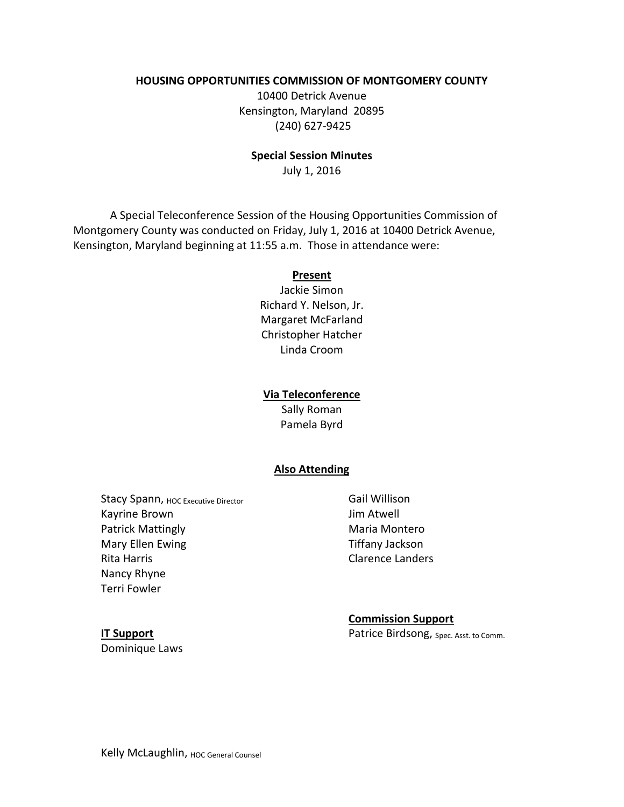#### **HOUSING OPPORTUNITIES COMMISSION OF MONTGOMERY COUNTY**

10400 Detrick Avenue Kensington, Maryland 20895 (240) 627-9425

#### **Special Session Minutes**

July 1, 2016

A Special Teleconference Session of the Housing Opportunities Commission of Montgomery County was conducted on Friday, July 1, 2016 at 10400 Detrick Avenue, Kensington, Maryland beginning at 11:55 a.m. Those in attendance were:

#### **Present**

Jackie Simon Richard Y. Nelson, Jr. Margaret McFarland Christopher Hatcher Linda Croom

### **Via Teleconference**

Sally Roman Pamela Byrd

### **Also Attending**

Stacy Spann, HOC Executive Director Kayrine Brown Patrick Mattingly Mary Ellen Ewing Rita Harris Nancy Rhyne Terri Fowler

Gail Willison Jim Atwell Maria Montero Tiffany Jackson Clarence Landers

**Commission Support** Patrice Birdsong, Spec. Asst. to Comm.

**IT Support** Dominique Laws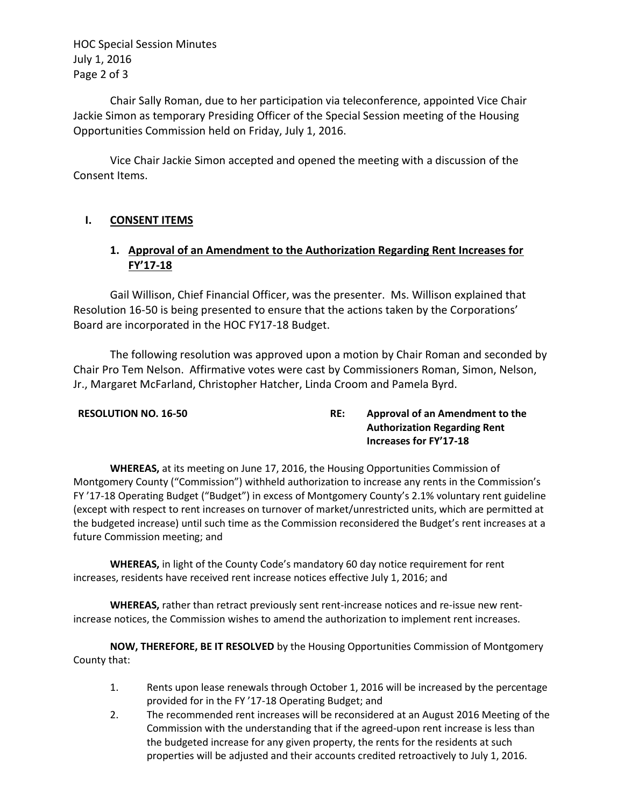HOC Special Session Minutes July 1, 2016 Page 2 of 3

Chair Sally Roman, due to her participation via teleconference, appointed Vice Chair Jackie Simon as temporary Presiding Officer of the Special Session meeting of the Housing Opportunities Commission held on Friday, July 1, 2016.

Vice Chair Jackie Simon accepted and opened the meeting with a discussion of the Consent Items.

## **I. CONSENT ITEMS**

# **1. Approval of an Amendment to the Authorization Regarding Rent Increases for FY'17-18**

Gail Willison, Chief Financial Officer, was the presenter. Ms. Willison explained that Resolution 16-50 is being presented to ensure that the actions taken by the Corporations' Board are incorporated in the HOC FY17-18 Budget.

The following resolution was approved upon a motion by Chair Roman and seconded by Chair Pro Tem Nelson. Affirmative votes were cast by Commissioners Roman, Simon, Nelson, Jr., Margaret McFarland, Christopher Hatcher, Linda Croom and Pamela Byrd.

## **RESOLUTION NO. 16-50 RE: Approval of an Amendment to the Authorization Regarding Rent Increases for FY'17-18**

**WHEREAS,** at its meeting on June 17, 2016, the Housing Opportunities Commission of Montgomery County ("Commission") withheld authorization to increase any rents in the Commission's FY '17-18 Operating Budget ("Budget") in excess of Montgomery County's 2.1% voluntary rent guideline (except with respect to rent increases on turnover of market/unrestricted units, which are permitted at the budgeted increase) until such time as the Commission reconsidered the Budget's rent increases at a future Commission meeting; and

**WHEREAS,** in light of the County Code's mandatory 60 day notice requirement for rent increases, residents have received rent increase notices effective July 1, 2016; and

**WHEREAS,** rather than retract previously sent rent-increase notices and re-issue new rentincrease notices, the Commission wishes to amend the authorization to implement rent increases.

**NOW, THEREFORE, BE IT RESOLVED** by the Housing Opportunities Commission of Montgomery County that:

- 1. Rents upon lease renewals through October 1, 2016 will be increased by the percentage provided for in the FY '17-18 Operating Budget; and
- 2. The recommended rent increases will be reconsidered at an August 2016 Meeting of the Commission with the understanding that if the agreed-upon rent increase is less than the budgeted increase for any given property, the rents for the residents at such properties will be adjusted and their accounts credited retroactively to July 1, 2016.